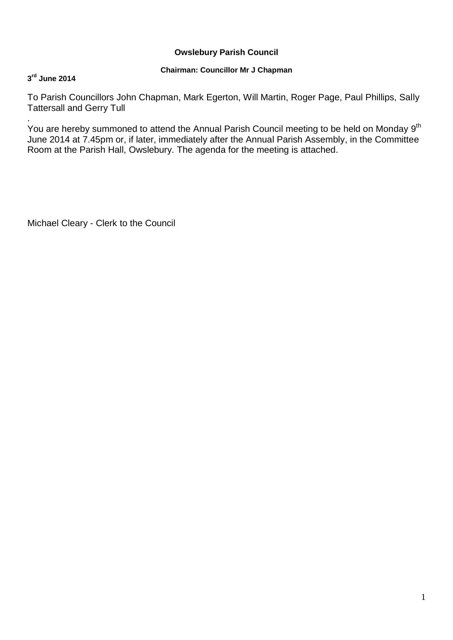# **Owslebury Parish Council**

## **Chairman: Councillor Mr J Chapman**

## **3 rd June 2014**

To Parish Councillors John Chapman, Mark Egerton, Will Martin, Roger Page, Paul Phillips, Sally Tattersall and Gerry Tull

. You are hereby summoned to attend the Annual Parish Council meeting to be held on Monday 9<sup>th</sup> June 2014 at 7.45pm or, if later, immediately after the Annual Parish Assembly, in the Committee Room at the Parish Hall, Owslebury. The agenda for the meeting is attached.

Michael Cleary - Clerk to the Council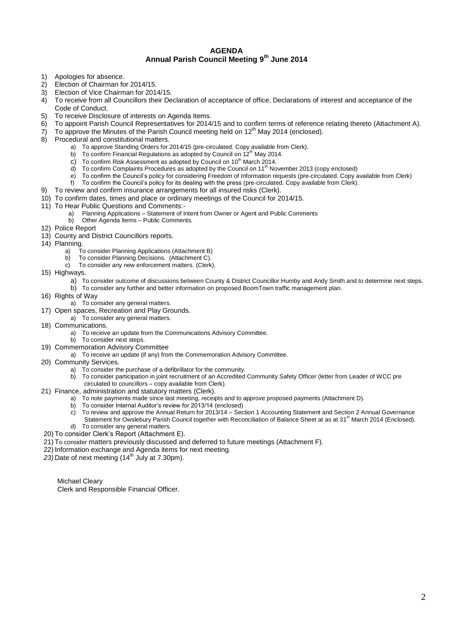#### **AGENDA Annual Parish Council Meeting 9 th June 2014**

- 1) Apologies for absence.
- 2) Election of Chairman for 2014/15.<br>3) Election of Vice Chairman for 201
- Election of Vice Chairman for 2014/15.
- 4) To receive from all Councillors their Declaration of acceptance of office, Declarations of interest and acceptance of the Code of Conduct.
- 5) To receive Disclosure of interests on Agenda Items.
- 6) To appoint Parish Council Representatives for 2014/15 and to confirm terms of reference relating thereto (Attachment A).
- 7) To approve the Minutes of the Parish Council meeting held on  $12<sup>th</sup>$  May 2014 (enclosed).<br>8) Procedural and constitutional matters
- 8) Procedural and constitutional matters.
	- a) To approve Standing Orders for 2014/15 (pre-circulated. Copy available from Clerk).<br>b) To confirm Financial Regulations as adopted by Council on 12<sup>th</sup> May 2014.
	- To confirm Financial Regulations as adopted by Council on 12<sup>th</sup> May 2014.
	- c) To confirm Risk Assessment as adopted by Council on  $10^{\text{th}}$  March 2014.<br>d) To confirm Complaints Procedures as adopted by the Council on  $11^{\text{th}}$  No.
	- To confirm Complaints Procedures as adopted by the Council on  $11<sup>th</sup>$  November 2013 (copy enclosed)
	- e) To confirm the Council's policy for considering Freedom of Information requests (pre-circulated. Copy available from Clerk)
	- f) To confirm the Council's policy for its dealing with the press (pre-circulated. Copy available from Clerk).
- 9) To review and confirm insurance arrangements for all insured risks (Clerk).
- 10) To confirm dates, times and place or ordinary meetings of the Council for 2014/15.
- 11) To Hear Public Questions and Comments:<br>a) Planning Applications Statement of In
	- Planning Applications Statement of Intent from Owner or Agent and Public Comments
	- b) Other Agenda Items Public Comments.
- 12) Police Report
- 13) County and District Councillors reports.
- 14) Planning.
	- a) To consider Planning Applications (Attachment B)
	- b) To consider Planning Decisions. (Attachment C).
	- c) To consider any new enforcement matters. (Clerk).
- 15) Highways.
	- a) To consider outcome of discussions between County & District Councillor Humby and Andy Smith and to determine next steps.
	- b) To consider any further and better information on proposed BoomTown traffic management plan.
- 16) Rights of Way
	- a) To consider any general matters.
- 17) Open spaces, Recreation and Play Grounds.
	- a) To consider any general matters.
- 18) Communications.
	- a) To receive an update from the Communications Advisory Committee.
	- b) To consider next steps.
- 19) Commemoration Advisory Committee
	- a) To receive an update (if any) from the Commemoration Advisory Committee.
- 20) Community Services.
	- a) To consider the purchase of a defibrillator for the community.
	- b) To consider participation in joint recruitment of an Accredited Community Safety Officer (letter from Leader of WCC pre circulated to councillors – copy available from Clerk).
- 21) Finance, administration and statutory matters (Clerk).
	- a) To note payments made since last meeting, receipts and to approve proposed payments (Attachment D).<br>b) To consider Internal Auditor's review for 2013/14 (enclosed)
	- b) To consider Internal Auditor's review for 2013/14 (enclosed)
	- c) To review and approve the Annual Return for 2013/14 Section 1 Accounting Statement and Section 2 Annual Governance Statement for Owslebury Parish Council together with Reconciliation of Balance Sheet at as at 31<sup>st</sup> March 2014 (Enclosed).
	- d) To consider any general matters.
- 20) To consider Clerk's Report (Attachment E).
- 21) To consider matters previously discussed and deferred to future meetings (Attachment F).
- 22) Information exchange and Agenda items for next meeting.
- 23) Date of next meeting (14<sup>th</sup> July at 7.30pm).

Michael Cleary Clerk and Responsible Financial Officer.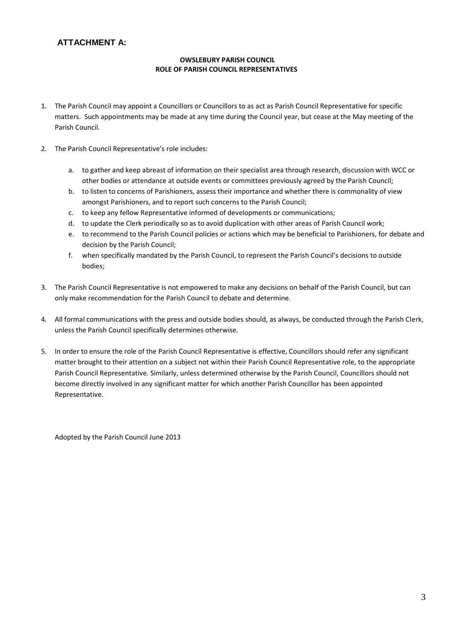### **OWSLEBURY PARISH COUNCIL ROLE OF PARISH COUNCIL REPRESENTATIVES**

- 1. The Parish Council may appoint a Councillors or Councillors to as act as Parish Council Representative for specific matters. Such appointments may be made at any time during the Council year, but cease at the May meeting of the Parish Council.
- 2. The Parish Council Representative's role includes:
	- a. to gather and keep abreast of information on their specialist area through research, discussion with WCC or other bodies or attendance at outside events or committees previously agreed by the Parish Council;
	- b. to listen to concerns of Parishioners, assess their importance and whether there is commonality of view amongst Parishioners, and to report such concerns to the Parish Council;
	- c. to keep any fellow Representative informed of developments or communications;
	- d. to update the Clerk periodically so as to avoid duplication with other areas of Parish Council work;
	- e. to recommend to the Parish Council policies or actions which may be beneficial to Parishioners, for debate and decision by the Parish Council;
	- f. when specifically mandated by the Parish Council, to represent the Parish Council's decisions to outside bodies;
- 3. The Parish Council Representative is not empowered to make any decisions on behalf of the Parish Council, but can only make recommendation for the Parish Council to debate and determine.
- 4. All formal communications with the press and outside bodies should, as always, be conducted through the Parish Clerk, unless the Parish Council specifically determines otherwise.
- 5. In order to ensure the role of the Parish Council Representative is effective, Councillors should refer any significant matter brought to their attention on a subject not within their Parish Council Representative role, to the appropriate Parish Council Representative. Similarly, unless determined otherwise by the Parish Council, Councillors should not become directly involved in any significant matter for which another Parish Councillor has been appointed Representative.

Adopted by the Parish Council June 2013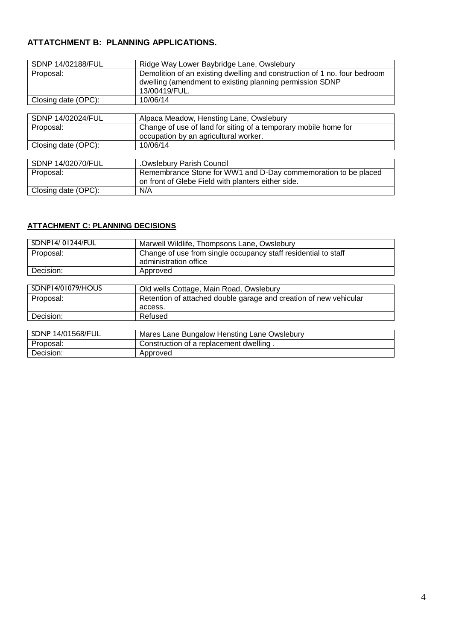# **ATTATCHMENT B: PLANNING APPLICATIONS.**

| SDNP 14/02188/FUL   | Ridge Way Lower Baybridge Lane, Owslebury                                                                                                              |  |
|---------------------|--------------------------------------------------------------------------------------------------------------------------------------------------------|--|
| Proposal:           | Demolition of an existing dwelling and construction of 1 no. four bedroom<br>dwelling (amendment to existing planning permission SDNP<br>13/00419/FUL. |  |
| Closing date (OPC): | 10/06/14                                                                                                                                               |  |
|                     |                                                                                                                                                        |  |
| SDNP 14/02024/FUL   | Alpaca Meadow, Hensting Lane, Owslebury                                                                                                                |  |
| Proposal:           | Change of use of land for siting of a temporary mobile home for                                                                                        |  |
|                     | occupation by an agricultural worker.                                                                                                                  |  |
| Closing date (OPC): | 10/06/14                                                                                                                                               |  |
|                     |                                                                                                                                                        |  |
| SDNP 14/02070/FUL   | .Owslebury Parish Council                                                                                                                              |  |
| Proposal:           | Remembrance Stone for WW1 and D-Day commemoration to be placed                                                                                         |  |
|                     | on front of Glebe Field with planters either side.                                                                                                     |  |
| Closing date (OPC): | N/A                                                                                                                                                    |  |

## **ATTACHMENT C: PLANNING DECISIONS**

| SDNP14/01244/FUL         | Marwell Wildlife, Thompsons Lane, Owslebury                                             |  |
|--------------------------|-----------------------------------------------------------------------------------------|--|
| Proposal:                | Change of use from single occupancy staff residential to staff<br>administration office |  |
| Decision:                | Approved                                                                                |  |
|                          |                                                                                         |  |
| <b>SDNP14/01079/HOUS</b> | Old wells Cottage, Main Road, Owslebury                                                 |  |
| Proposal:                | Retention of attached double garage and creation of new vehicular                       |  |
|                          | access.                                                                                 |  |
| Decision:                | Refused                                                                                 |  |
|                          |                                                                                         |  |
| SDNP 14/01568/FUL        | Mares Lane Bungalow Hensting Lane Owslebury                                             |  |
| Proposal:                | Construction of a replacement dwelling.                                                 |  |
| Decision:                | Approved                                                                                |  |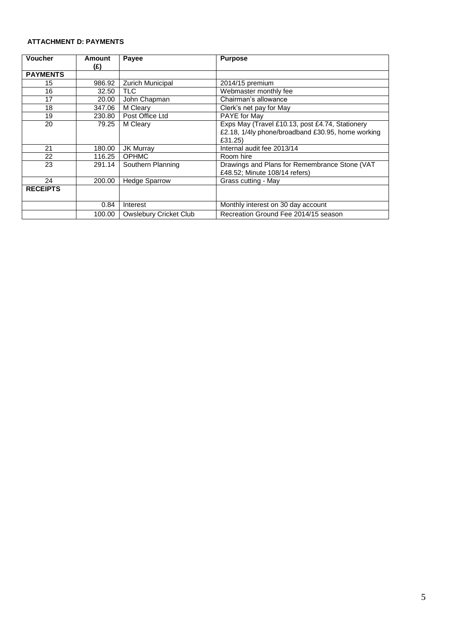### **ATTACHMENT D: PAYMENTS**

| <b>Voucher</b>            | Amount<br>(£) | Payee                               | <b>Purpose</b>                                                                                                  |
|---------------------------|---------------|-------------------------------------|-----------------------------------------------------------------------------------------------------------------|
| <b>PAYMENTS</b>           |               |                                     |                                                                                                                 |
| 15                        | 986.92        | <b>Zurich Municipal</b>             | 2014/15 premium                                                                                                 |
| 16                        | 32.50         | <b>TLC</b><br>Webmaster monthly fee |                                                                                                                 |
| 17                        | 20.00         | John Chapman                        | Chairman's allowance                                                                                            |
| 18                        | 347.06        | M Cleary                            | Clerk's net pay for May                                                                                         |
| 19                        | 230.80        | Post Office Ltd                     | PAYE for May                                                                                                    |
| 20<br>79.25               |               | M Cleary                            | Exps May (Travel £10.13, post £4.74, Stationery<br>£2.18, 1/4ly phone/broadband £30.95, home working<br>£31.25) |
| 21<br>JK Murray<br>180.00 |               |                                     | Internal audit fee 2013/14                                                                                      |
| 22                        | 116.25        | <b>OPHMC</b>                        | Room hire                                                                                                       |
| 23                        | 291.14        | Southern Planning                   | Drawings and Plans for Remembrance Stone (VAT<br>£48.52; Minute 108/14 refers)                                  |
| 24                        | 200.00        | <b>Hedge Sparrow</b>                | Grass cutting - May                                                                                             |
| <b>RECEIPTS</b>           |               |                                     |                                                                                                                 |
|                           | 0.84          | Interest                            | Monthly interest on 30 day account                                                                              |
|                           | 100.00        | <b>Owslebury Cricket Club</b>       | Recreation Ground Fee 2014/15 season                                                                            |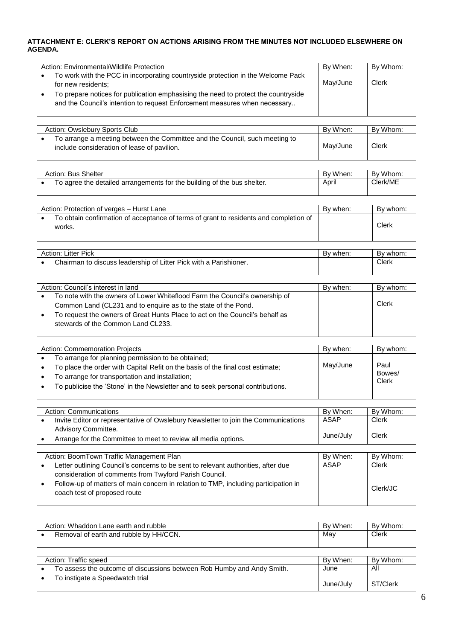### **ATTACHMENT E: CLERK'S REPORT ON ACTIONS ARISING FROM THE MINUTES NOT INCLUDED ELSEWHERE ON AGENDA.**

| Action: Environmental/Wildlife Protection                                                                                                                        | By When: | By Whom: |
|------------------------------------------------------------------------------------------------------------------------------------------------------------------|----------|----------|
| To work with the PCC in incorporating countryside protection in the Welcome Pack<br>for new residents;                                                           | May/June | Clerk    |
| To prepare notices for publication emphasising the need to protect the countryside<br>and the Council's intention to request Enforcement measures when necessary |          |          |

| Action: Owslebury Sports Club                                                                                              | By When: | By Whom: |
|----------------------------------------------------------------------------------------------------------------------------|----------|----------|
| To arrange a meeting between the Committee and the Council, such meeting to<br>include consideration of lease of pavilion. | May/June | Clerk    |

| Action: Bus Shelter |                                                                         | By When: | By Whom: |
|---------------------|-------------------------------------------------------------------------|----------|----------|
|                     | To agree the detailed arrangements for the building of the bus shelter. | April    | Clerk/ME |

| Action: Protection of verges - Hurst Lane                                                       | By when: | By whom: |
|-------------------------------------------------------------------------------------------------|----------|----------|
| To obtain confirmation of acceptance of terms of grant to residents and completion of<br>works. |          | Clerk    |

| <b>Action: Litter Pick</b> |                                                                   | By when: | By whom: |
|----------------------------|-------------------------------------------------------------------|----------|----------|
|                            | Chairman to discuss leadership of Litter Pick with a Parishioner. |          | Clerk    |
|                            |                                                                   |          |          |

|           | Action: Council's interest in land<br>By when:                                                                     |  | By whom: |
|-----------|--------------------------------------------------------------------------------------------------------------------|--|----------|
| $\bullet$ | To note with the owners of Lower Whiteflood Farm the Council's ownership of                                        |  |          |
|           | Common Land (CL231 and to enguire as to the state of the Pond.                                                     |  | Clerk    |
| $\bullet$ | To request the owners of Great Hunts Place to act on the Council's behalf as<br>stewards of the Common Land CL233. |  |          |
|           |                                                                                                                    |  |          |

| Action: Commemoration Projects                                                 |          |                 |  |  |  |
|--------------------------------------------------------------------------------|----------|-----------------|--|--|--|
|                                                                                | By when: | By whom:        |  |  |  |
| To arrange for planning permission to be obtained;                             |          |                 |  |  |  |
| To place the order with Capital Refit on the basis of the final cost estimate; | May/June | Paul            |  |  |  |
| To arrange for transportation and installation;                                |          | Bowes/<br>Clerk |  |  |  |
| To publicise the 'Stone' in the Newsletter and to seek personal contributions. |          |                 |  |  |  |
|                                                                                |          |                 |  |  |  |

| Action: Communications                                                                | By When:  | By Whom:     |
|---------------------------------------------------------------------------------------|-----------|--------------|
| Invite Editor or representative of Owslebury Newsletter to join the Communications    | ASAP      | <b>Clerk</b> |
| Advisory Committee.<br>Arrange for the Committee to meet to review all media options. | June/July | Clerk        |
|                                                                                       |           |              |

| Action: BoomTown Traffic Management Plan                                                                            | By When: | By Whom: |
|---------------------------------------------------------------------------------------------------------------------|----------|----------|
| Letter outlining Council's concerns to be sent to relevant authorities, after due                                   | ASAP     | Clerk    |
| consideration of comments from Twyford Parish Council.                                                              |          |          |
| Follow-up of matters of main concern in relation to TMP, including participation in<br>coach test of proposed route |          | Clerk/JC |

| Action: Whaddon Lane earth and rubble                                  | By When:  | By Whom:     |
|------------------------------------------------------------------------|-----------|--------------|
| Removal of earth and rubble by HH/CCN.                                 | May       | <b>Clerk</b> |
|                                                                        |           |              |
|                                                                        |           |              |
| Action: Traffic speed                                                  | By When:  | By Whom:     |
| To assess the outcome of discussions between Rob Humby and Andy Smith. | June      | All          |
| To instigate a Speedwatch trial                                        |           |              |
|                                                                        | June/July | ST/Clerk     |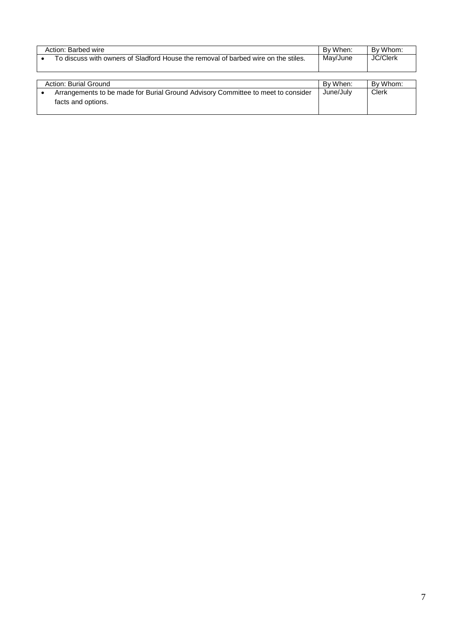| Action: Barbed wire                                                                | By When: | By Whom:        |
|------------------------------------------------------------------------------------|----------|-----------------|
| To discuss with owners of Sladford House the removal of barbed wire on the stiles. | Mav/June | <b>JC/Clerk</b> |
|                                                                                    |          |                 |

| Action: Burial Ground                                                                                  | By When:  | By Whom: |
|--------------------------------------------------------------------------------------------------------|-----------|----------|
| Arrangements to be made for Burial Ground Advisory Committee to meet to consider<br>facts and options. | June/Julv | Clerk    |